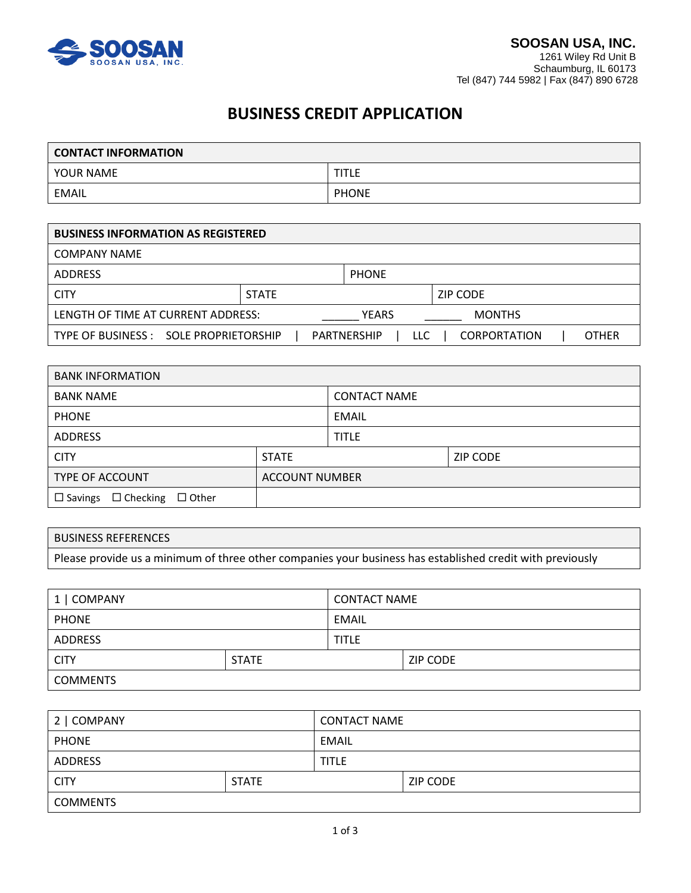

# **BUSINESS CREDIT APPLICATION**

| <b>CONTACT INFORMATION</b> |              |  |
|----------------------------|--------------|--|
| YOUR NAME                  | <b>TITLE</b> |  |
| EMAIL                      | <b>PHONE</b> |  |

| <b>BUSINESS INFORMATION AS REGISTERED</b> |              |                           |                     |              |
|-------------------------------------------|--------------|---------------------------|---------------------|--------------|
| <b>COMPANY NAME</b>                       |              |                           |                     |              |
| <b>ADDRESS</b>                            |              | <b>PHONE</b>              |                     |              |
| <b>CITY</b>                               | <b>STATE</b> |                           | ZIP CODE            |              |
| LENGTH OF TIME AT CURRENT ADDRESS:        |              | <b>YEARS</b>              | <b>MONTHS</b>       |              |
| TYPE OF BUSINESS : SOLE PROPRIETORSHIP    |              | <b>PARTNERSHIP</b><br>LLC | <b>CORPORTATION</b> | <b>OTHER</b> |

| <b>BANK INFORMATION</b>                                 |                       |                     |                 |
|---------------------------------------------------------|-----------------------|---------------------|-----------------|
| <b>BANK NAME</b>                                        |                       | <b>CONTACT NAME</b> |                 |
| <b>PHONE</b>                                            |                       | EMAIL               |                 |
| <b>ADDRESS</b>                                          |                       | <b>TITLE</b>        |                 |
| <b>CITY</b>                                             | <b>STATE</b>          |                     | <b>ZIP CODE</b> |
| <b>TYPE OF ACCOUNT</b>                                  | <b>ACCOUNT NUMBER</b> |                     |                 |
| $\Box$ Checking<br>$\square$ Other<br>$\square$ Savings |                       |                     |                 |

## BUSINESS REFERENCES

Please provide us a minimum of three other companies your business has established credit with previously

| 1   COMPANY     |              | <b>CONTACT NAME</b> |          |
|-----------------|--------------|---------------------|----------|
| <b>PHONE</b>    |              | EMAIL               |          |
| ADDRESS         |              | <b>TITLE</b>        |          |
| <b>CITY</b>     | <b>STATE</b> |                     | ZIP CODE |
| <b>COMMENTS</b> |              |                     |          |

| 2   COMPANY     |              | <b>CONTACT NAME</b> |          |
|-----------------|--------------|---------------------|----------|
| <b>PHONE</b>    |              | EMAIL               |          |
| <b>ADDRESS</b>  |              | <b>TITLE</b>        |          |
| <b>CITY</b>     | <b>STATE</b> |                     | ZIP CODE |
| <b>COMMENTS</b> |              |                     |          |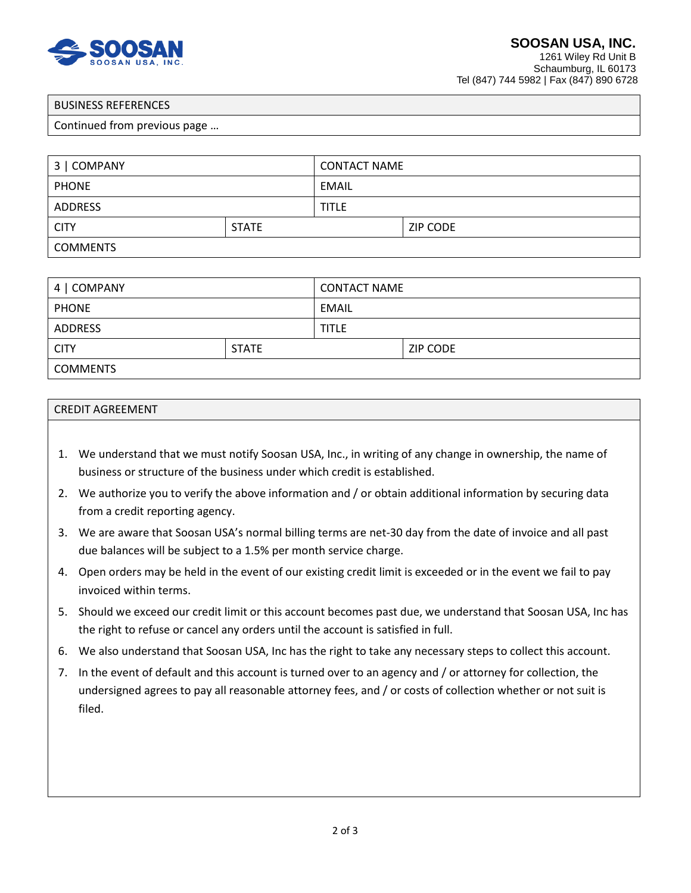

1261 Wiley Rd Unit B Schaumburg, IL 60173 Tel (847) 744 5982 | Fax (847) 890 6728

#### BUSINESS REFERENCES

#### Continued from previous page …

| 3   COMPANY     |              | <b>CONTACT NAME</b> |          |
|-----------------|--------------|---------------------|----------|
| <b>PHONE</b>    |              | EMAIL               |          |
| <b>ADDRESS</b>  |              | <b>TITLE</b>        |          |
| <b>CITY</b>     | <b>STATE</b> |                     | ZIP CODE |
| <b>COMMENTS</b> |              |                     |          |

| 4   COMPANY     |              | <b>CONTACT NAME</b> |          |
|-----------------|--------------|---------------------|----------|
| <b>PHONE</b>    |              | <b>EMAIL</b>        |          |
| ADDRESS         |              | <b>TITLE</b>        |          |
| <b>CITY</b>     | <b>STATE</b> |                     | ZIP CODE |
| <b>COMMENTS</b> |              |                     |          |

#### CREDIT AGREEMENT

- 1. We understand that we must notify Soosan USA, Inc., in writing of any change in ownership, the name of business or structure of the business under which credit is established.
- 2. We authorize you to verify the above information and / or obtain additional information by securing data from a credit reporting agency.
- 3. We are aware that Soosan USA's normal billing terms are net-30 day from the date of invoice and all past due balances will be subject to a 1.5% per month service charge.
- 4. Open orders may be held in the event of our existing credit limit is exceeded or in the event we fail to pay invoiced within terms.
- 5. Should we exceed our credit limit or this account becomes past due, we understand that Soosan USA, Inc has the right to refuse or cancel any orders until the account is satisfied in full.
- 6. We also understand that Soosan USA, Inc has the right to take any necessary steps to collect this account.
- 7. In the event of default and this account is turned over to an agency and / or attorney for collection, the undersigned agrees to pay all reasonable attorney fees, and / or costs of collection whether or not suit is filed.